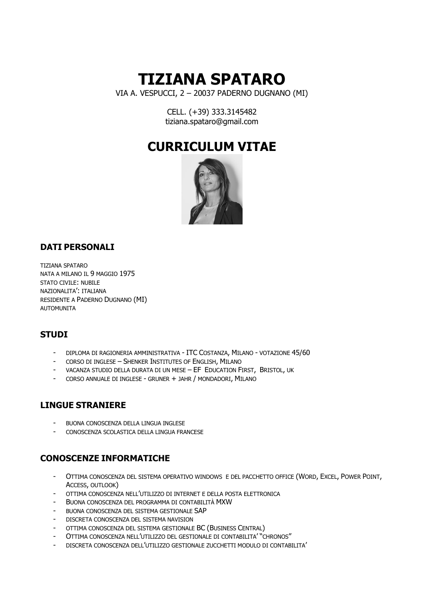# **TIZIANA SPATARO**

VIA A. VESPUCCI, 2 – 20037 PADERNO DUGNANO (MI)

CELL. (+39) 333.3145482 tiziana.spataro@gmail.com

# **CURRICULUM VITAE**



# **DATI PERSONALI**

TIZIANA SPATARO NATA A MILANO IL 9 MAGGIO 1975 STATO CIVILE: NUBILE NAZIONALITA': ITALIANA RESIDENTE A PADERNO DUGNANO (MI) **AUTOMUNITA** 

## **STUDI**

- DIPLOMA DI RAGIONERIA AMMINISTRATIVA ITC COSTANZA, MILANO VOTAZIONE 45/60
- CORSO DI INGLESE SHENKER INSTITUTES OF ENGLISH, MILANO
- VACANZA STUDIO DELLA DURATA DI UN MESE EF EDUCATION FIRST, BRISTOL, UK
- CORSO ANNUALE DI INGLESE GRUNER + JAHR / MONDADORI, MILANO

## **LINGUE STRANIERE**

- BUONA CONOSCENZA DELLA LINGUA INGLESE
- CONOSCENZA SCOLASTICA DELLA LINGUA FRANCESE

# **CONOSCENZE INFORMATICHE**

- OTTIMA CONOSCENZA DEL SISTEMA OPERATIVO WINDOWS E DEL PACCHETTO OFFICE (WORD, EXCEL, POWER POINT, ACCESS, OUTLOOK)
- OTTIMA CONOSCENZA NELL'UTILIZZO DI INTERNET E DELLA POSTA ELETTRONICA
- BUONA CONOSCENZA DEL PROGRAMMA DI CONTABILITÀ MXW
- BUONA CONOSCENZA DEL SISTEMA GESTIONALE SAP
- DISCRETA CONOSCENZA DEL SISTEMA NAVISION
- OTTIMA CONOSCENZA DEL SISTEMA GESTIONALE BC (BUSINESS CENTRAL)
- OTTIMA CONOSCENZA NELL'UTILIZZO DEL GESTIONALE DI CONTABILITA' "CHRONOS"
- DISCRETA CONOSCENZA DELL'UTILIZZO GESTIONALE ZUCCHETTI MODULO DI CONTABILITA'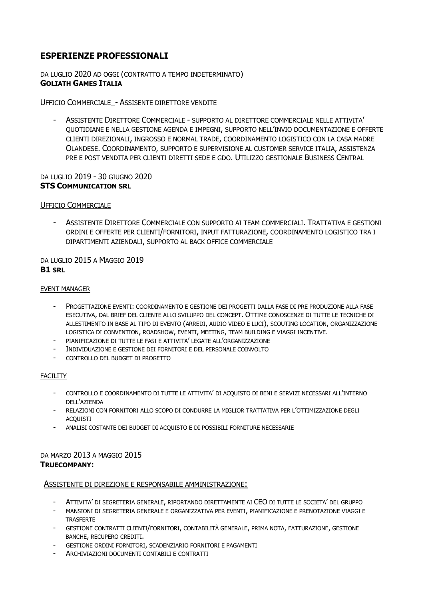# **ESPERIENZE PROFESSIONALI**

DA LUGLIO 2020 AD OGGI (CONTRATTO A TEMPO INDETERMINATO) **GOLIATH GAMES ITALIA**

#### UFFICIO COMMERCIALE\_- ASSISENTE DIRETTORE VENDITE

- ASSISTENTE DIRETTORE COMMERCIALE - SUPPORTO AL DIRETTORE COMMERCIALE NELLE ATTIVITA' QUOTIDIANE E NELLA GESTIONE AGENDA E IMPEGNI, SUPPORTO NELL'INVIO DOCUMENTAZIONE E OFFERTE CLIENTI DIREZIONALI, INGROSSO E NORMAL TRADE, COORDINAMENTO LOGISTICO CON LA CASA MADRE OLANDESE. COORDINAMENTO, SUPPORTO E SUPERVISIONE AL CUSTOMER SERVICE ITALIA, ASSISTENZA PRE E POST VENDITA PER CLIENTI DIRETTI SEDE E GDO. UTILIZZO GESTIONALE BUSINESS CENTRAL

#### DA LUGLIO 2019 - 30 GIUGNO 2020 **STS COMMUNICATION SRL**

#### UFFICIO COMMERCIALE

- ASSISTENTE DIRETTORE COMMERCIALE CON SUPPORTO AI TEAM COMMERCIALI. TRATTATIVA E GESTIONI ORDINI E OFFERTE PER CLIENTI/FORNITORI, INPUT FATTURAZIONE, COORDINAMENTO LOGISTICO TRA I DIPARTIMENTI AZIENDALI, SUPPORTO AL BACK OFFICE COMMERCIALE

#### DA LUGLIO 2015 A MAGGIO 2019 **B1 SRL**

#### EVENT MANAGER

- PROGETTAZIONE EVENTI: COORDINAMENTO E GESTIONE DEI PROGETTI DALLA FASE DI PRE PRODUZIONE ALLA FASE ESECUTIVA, DAL BRIEF DEL CLIENTE ALLO SVILUPPO DEL CONCEPT. OTTIME CONOSCENZE DI TUTTE LE TECNICHE DI ALLESTIMENTO IN BASE AL TIPO DI EVENTO (ARREDI, AUDIO VIDEO E LUCI), SCOUTING LOCATION, ORGANIZZAZIONE LOGISTICA DI CONVENTION, ROADSHOW, EVENTI, MEETING, TEAM BUILDING E VIAGGI INCENTIVE.
- PIANIFICAZIONE DI TUTTE LE FASI E ATTIVITA' LEGATE ALL'ORGANIZZAZIONE
- INDIVIDUAZIONE E GESTIONE DEI FORNITORI E DEL PERSONALE COINVOLTO
- CONTROLLO DEL BUDGET DI PROGETTO

#### FACILITY

- CONTROLLO E COORDINAMENTO DI TUTTE LE ATTIVITA' DI ACQUISTO DI BENI E SERVIZI NECESSARI ALL'INTERNO DELL'AZIENDA
- RELAZIONI CON FORNITORI ALLO SCOPO DI CONDURRE LA MIGLIOR TRATTATIVA PER L'OTTIMIZZAZIONE DEGLI **ACOUISTI**
- ANALISI COSTANTE DEI BUDGET DI ACQUISTO E DI POSSIBILI FORNITURE NECESSARIE

#### DA MARZO 2013 A MAGGIO 2015 **TRUECOMPANY:**

#### ASSISTENTE DI DIREZIONE E RESPONSABILE AMMINISTRAZIONE:

- ATTIVITA' DI SEGRETERIA GENERALE, RIPORTANDO DIRETTAMENTE AI CEO DI TUTTE LE SOCIETA' DEL GRUPPO
- MANSIONI DI SEGRETERIA GENERALE E ORGANIZZATIVA PER EVENTI, PIANIFICAZIONE E PRENOTAZIONE VIAGGI E TRASFERTE
- GESTIONE CONTRATTI CLIENTI/FORNITORI, CONTABILITÀ GENERALE, PRIMA NOTA, FATTURAZIONE, GESTIONE BANCHE, RECUPERO CREDITI.
- GESTIONE ORDINI FORNITORI, SCADENZIARIO FORNITORI E PAGAMENTI
- ARCHIVIAZIONI DOCUMENTI CONTABILI E CONTRATTI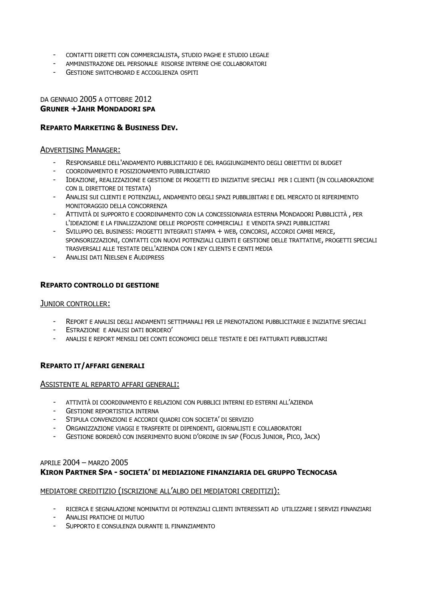- CONTATTI DIRETTI CON COMMERCIALISTA, STUDIO PAGHE E STUDIO LEGALE
- AMMINISTRAZONE DEL PERSONALE RISORSE INTERNE CHE COLLABORATORI
- GESTIONE SWITCHBOARD E ACCOGLIENZA OSPITI

#### DA GENNAIO 2005 A OTTOBRE 2012 **GRUNER +JAHR MONDADORI SPA**

#### **REPARTO MARKETING & BUSINESS DEV.**

#### ADVERTISING MANAGER:

- RESPONSABILE DELL'ANDAMENTO PUBBLICITARIO E DEL RAGGIUNGIMENTO DEGLI OBIETTIVI DI BUDGET
- COORDINAMENTO E POSIZIONAMENTO PUBBLICITARIO
- IDEAZIONE, REALIZZAZIONE E GESTIONE DI PROGETTI ED INIZIATIVE SPECIALI PER I CLIENTI (IN COLLABORAZIONE CON IL DIRETTORE DI TESTATA)
- ANALISI SUI CLIENTI E POTENZIALI, ANDAMENTO DEGLI SPAZI PUBBLIBITARI E DEL MERCATO DI RIFERIMENTO MONITORAGGIO DELLA CONCORRENZA
- ATTIVITÀ DI SUPPORTO E COORDINAMENTO CON LA CONCESSIONARIA ESTERNA MONDADORI PUBBLICITÀ , PER L'IDEAZIONE E LA FINALIZZAZIONE DELLE PROPOSTE COMMERCIALI E VENDITA SPAZI PUBBLICITARI
- SVILUPPO DEL BUSINESS: PROGETTI INTEGRATI STAMPA + WEB, CONCORSI, ACCORDI CAMBI MERCE, SPONSORIZZAZIONI, CONTATTI CON NUOVI POTENZIALI CLIENTI E GESTIONE DELLE TRATTATIVE, PROGETTI SPECIALI TRASVERSALI ALLE TESTATE DELL'AZIENDA CON I KEY CLIENTS E CENTI MEDIA
- ANALISI DATI NIELSEN E AUDIPRESS

#### **REPARTO CONTROLLO DI GESTIONE**

#### JUNIOR CONTROLLER:

- REPORT E ANALISI DEGLI ANDAMENTI SETTIMANALI PER LE PRENOTAZIONI PUBBLICITARIE E INIZIATIVE SPECIALI
- ESTRAZIONE E ANALISI DATI BORDERO'
- ANALISI E REPORT MENSILI DEI CONTI ECONOMICI DELLE TESTATE E DEI FATTURATI PUBBLICITARI

#### **REPARTO IT/AFFARI GENERALI**

#### ASSISTENTE AL REPARTO AFFARI GENERALI:

- ATTIVITÀ DI COORDINAMENTO E RELAZIONI CON PUBBLICI INTERNI ED ESTERNI ALL'AZIENDA
- GESTIONE REPORTISTICA INTERNA
- STIPULA CONVENZIONI E ACCORDI QUADRI CON SOCIETA' DI SERVIZIO
- ORGANIZZAZIONE VIAGGI E TRASFERTE DI DIPENDENTI, GIORNALISTI E COLLABORATORI
- GESTIONE BORDERÒ CON INSERIMENTO BUONI D'ORDINE IN SAP (FOCUS JUNIOR, PICO, JACK)

#### APRILE 2004 – MARZO 2005 **KIRON PARTNER SPA - SOCIETA' DI MEDIAZIONE FINANZIARIA DEL GRUPPO TECNOCASA**

#### MEDIATORE CREDITIZIO (ISCRIZIONE ALL'ALBO DEI MEDIATORI CREDITIZI):

- RICERCA E SEGNALAZIONE NOMINATIVI DI POTENZIALI CLIENTI INTERESSATI AD UTILIZZARE I SERVIZI FINANZIARI
- ANALISI PRATICHE DI MUTUO
- SUPPORTO E CONSULENZA DURANTE IL FINANZIAMENTO